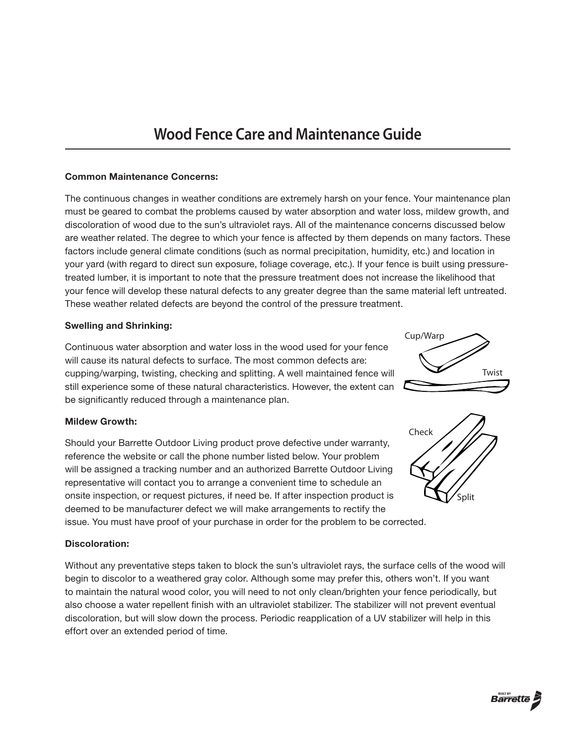# **Wood Fence Care and Maintenance Guide**

## Common Maintenance Concerns:

The continuous changes in weather conditions are extremely harsh on your fence. Your maintenance plan must be geared to combat the problems caused by water absorption and water loss, mildew growth, and discoloration of wood due to the sun's ultraviolet rays. All of the maintenance concerns discussed below are weather related. The degree to which your fence is affected by them depends on many factors. These factors include general climate conditions (such as normal precipitation, humidity, etc.) and location in your yard (with regard to direct sun exposure, foliage coverage, etc.). If your fence is built using pressuretreated lumber, it is important to note that the pressure treatment does not increase the likelihood that your fence will develop these natural defects to any greater degree than the same material left untreated. These weather related defects are beyond the control of the pressure treatment.

## Swelling and Shrinking:

Continuous water absorption and water loss in the wood used for your fence will cause its natural defects to surface. The most common defects are: cupping/warping, twisting, checking and splitting. A well maintained fence will still experience some of these natural characteristics. However, the extent can be significantly reduced through a maintenance plan.

## Mildew Growth:

Should your Barrette Outdoor Living product prove defective under warranty, reference the website or call the phone number listed below. Your problem will be assigned a tracking number and an authorized Barrette Outdoor Living representative will contact you to arrange a convenient time to schedule an onsite inspection, or request pictures, if need be. If after inspection product is deemed to be manufacturer defect we will make arrangements to rectify the

issue. You must have proof of your purchase in order for the problem to be corrected.

## Discoloration:

Without any preventative steps taken to block the sun's ultraviolet rays, the surface cells of the wood will begin to discolor to a weathered gray color. Although some may prefer this, others won't. If you want to maintain the natural wood color, you will need to not only clean/brighten your fence periodically, but also choose a water repellent finish with an ultraviolet stabilizer. The stabilizer will not prevent eventual discoloration, but will slow down the process. Periodic reapplication of a UV stabilizer will help in this effort over an extended period of time.